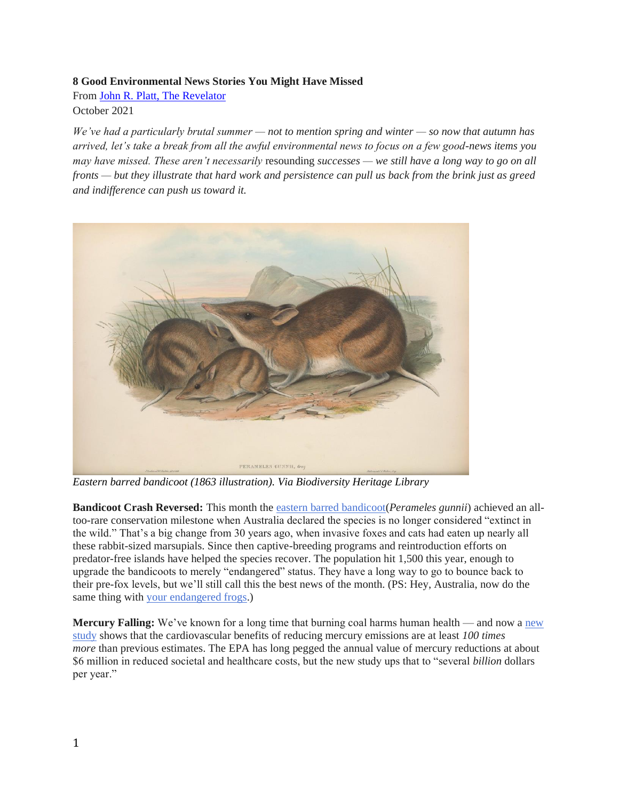## **8 Good Environmental News Stories You Might Have Missed**

From [John R. Platt, The Revelator](https://therevelator.org/) October 2021

*We've had a particularly brutal summer — not to mention spring and winter — so now that autumn has arrived, let's take a break from all the awful environmental news to focus on a few good-news items you may have missed. These aren't necessarily* resounding *successes — we still have a long way to go on all fronts — but they illustrate that hard work and persistence can pull us back from the brink just as greed and indifference can push us toward it.*



*Eastern barred bandicoot (1863 illustration). Via Biodiversity Heritage Library*

**Bandicoot Crash Reversed:** This month the [eastern barred bandicoot\(](https://www.bbc.com/news/world-australia-58564835)*Perameles gunnii*) achieved an alltoo-rare conservation milestone when Australia declared the species is no longer considered "extinct in the wild." That's a big change from 30 years ago, when invasive foxes and cats had eaten up nearly all these rabbit-sized marsupials. Since then captive-breeding programs and reintroduction efforts on predator-free islands have helped the species recover. The population hit 1,500 this year, enough to upgrade the bandicoots to merely "endangered" status. They have a long way to go to bounce back to their pre-fox levels, but we'll still call this the best news of the month. (PS: Hey, Australia, now do the same thing with [your endangered frogs.](https://www.publish.csiro.au/PC/PC21019))

**Mercury Falling:** We've known for a long time that burning coal harms human health — and now a new [study](https://www.hsph.harvard.edu/c-change/news/mercury-matters-2021-a-science-brief-for-journalists/) shows that the cardiovascular benefits of reducing mercury emissions are at least *100 times more* than previous estimates. The EPA has long pegged the annual value of mercury reductions at about \$6 million in reduced societal and healthcare costs, but the new study ups that to "several *billion* dollars per year."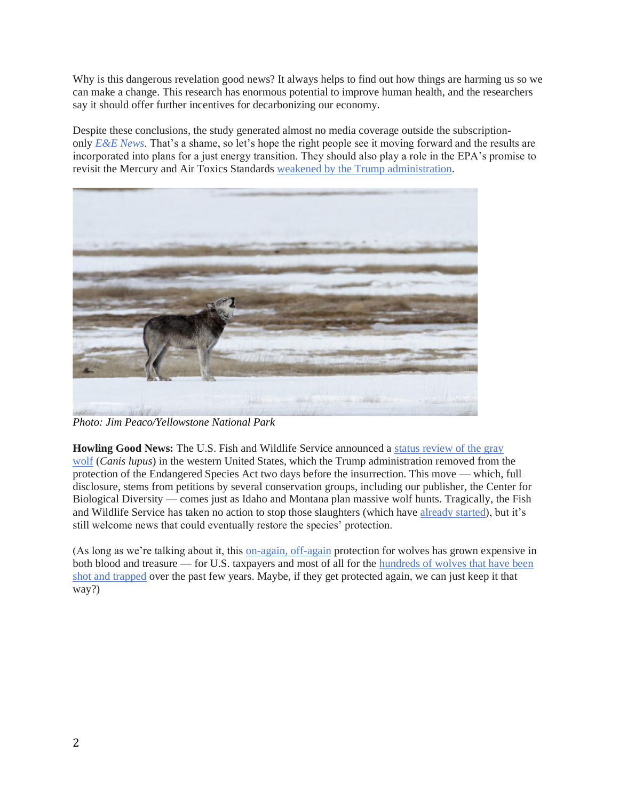Why is this dangerous revelation good news? It always helps to find out how things are harming us so we can make a change. This research has enormous potential to improve human health, and the researchers say it should offer further incentives for decarbonizing our economy.

Despite these conclusions, the study generated almost no media coverage outside the subscriptiononly *[E&E News](https://subscriber.politicopro.com/article/eenews/2021/09/09/study-benefits-of-mercury-cuts-100x-more-than-epa-estimates-280413)*. That's a shame, so let's hope the right people see it moving forward and the results are incorporated into plans for a just energy transition. They should also play a role in the EPA's promise to revisit the Mercury and Air Toxics Standards [weakened by the Trump administration.](http://blogs.edf.org/climate411/2021/08/31/epa-expected-to-act-soon-on-mercury-and-air-toxics-standards/)



*Photo: Jim Peaco/Yellowstone National Park*

**Howling Good News:** The U.S. Fish and Wildlife Service announced a status review of the gray [wolf](https://www.fws.gov/news/ShowNews.cfm?ref=service-to-initiate-status-review-of-gray-wolf-in-the-western-us-&_ID=36998) (*Canis lupus*) in the western United States, which the Trump administration removed from the protection of the Endangered Species Act two days before the insurrection. This move — which, full disclosure, stems from petitions by several conservation groups, including our publisher, the Center for Biological Diversity — comes just as Idaho and Montana plan massive wolf hunts. Tragically, the Fish and Wildlife Service has taken no action to stop those slaughters (which have [already started\)](https://www.bozemandailychronicle.com/news/environment/three-yellowstone-national-park-wolves-killed-in-montana/article_acec31f0-b3e1-57af-a524-c4b25c229a13.html), but it's still welcome news that could eventually restore the species' protection.

(As long as we're talking about it, this [on-again, off-again](https://therevelator.org/trump-administration-delist-wolves/) protection for wolves has grown expensive in both blood and treasure — for U.S. taxpayers and most of all for the [hundreds of wolves that have been](https://therevelator.org/wolves-lose-protection/)  [shot and trapped](https://therevelator.org/wolves-lose-protection/) over the past few years. Maybe, if they get protected again, we can just keep it that way?)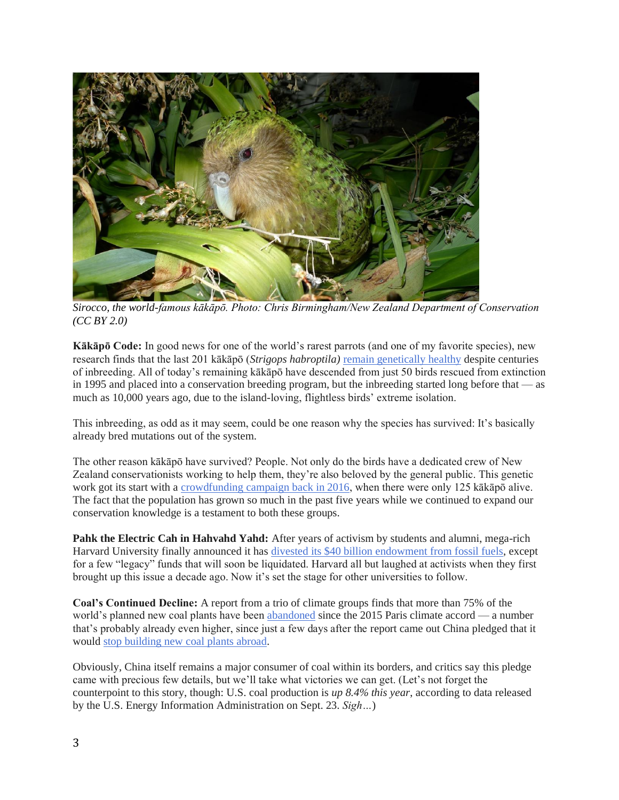

*Sirocco, the world-famous kākāpō. Photo: Chris Birmingham/New Zealand Department of Conservation (CC BY 2.0)*

**Kākāpō Code:** In good news for one of the world's rarest parrots (and one of my favorite species), new research finds that the last 201 kākāpō (*Strigops habroptila)* [remain genetically healthy](https://www.sciencefocus.com/news/interbreeding-might-actually-have-saved-the-kakapo-a-rare-waddling-parrot-from-extinction/) despite centuries of inbreeding. All of today's remaining kākāpō have descended from just 50 birds rescued from extinction in 1995 and placed into a conservation breeding program, but the inbreeding started long before that — as much as 10,000 years ago, due to the island-loving, flightless birds' extreme isolation.

This inbreeding, as odd as it may seem, could be one reason why the species has survived: It's basically already bred mutations out of the system.

The other reason kākāpō have survived? People. Not only do the birds have a dedicated crew of New Zealand conservationists working to help them, they're also beloved by the general public. This genetic work got its start with a [crowdfunding campaign back in 2016,](https://blogs.scientificamerican.com/extinction-countdown/kakapo-genome/) when there were only 125 kākāpō alive. The fact that the population has grown so much in the past five years while we continued to expand our conservation knowledge is a testament to both these groups.

**Pahk the Electric Cah in Hahvahd Yahd:** After years of activism by students and alumni, mega-rich Harvard University finally announced it has [divested its \\$40 billion endowment from fossil fuels,](https://billmckibben.substack.com/p/triumph-harvard-finally-divests-from) except for a few "legacy" funds that will soon be liquidated. Harvard all but laughed at activists when they first brought up this issue a decade ago. Now it's set the stage for other universities to follow.

**Coal's Continued Decline:** A report from a trio of climate groups finds that more than 75% of the world's planned new coal plants have been [abandoned](https://www.theguardian.com/environment/2021/sep/14/most-plans-for-new-coal-plants-scrapped-since-paris-agreement) since the 2015 Paris climate accord — a number that's probably already even higher, since just a few days after the report came out China pledged that it would [stop building new coal plants abroad.](https://www.bbc.com/news/world-asia-china-58647481)

Obviously, China itself remains a major consumer of coal within its borders, and critics say this pledge came with precious few details, but we'll take what victories we can get. (Let's not forget the counterpoint to this story, though: U.S. coal production is *up 8.4% this year*, according to data released by the U.S. Energy Information Administration on Sept. 23. *Sigh…*)